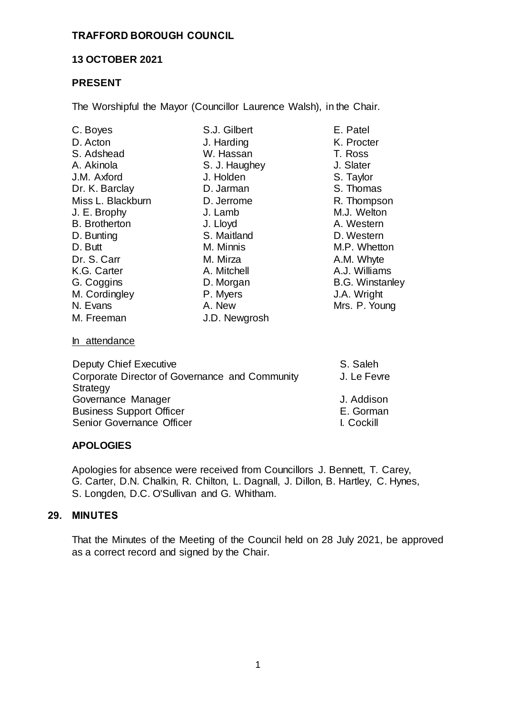# **TRAFFORD BOROUGH COUNCIL**

# **13 OCTOBER 2021**

# **PRESENT**

The Worshipful the Mayor (Councillor Laurence Walsh), in the Chair.

| C. Boyes             | S.J. Gilbert  | E. Patel               |
|----------------------|---------------|------------------------|
| D. Acton             | J. Harding    | K. Procter             |
| S. Adshead           | W. Hassan     | T. Ross                |
| A. Akinola           | S. J. Haughey | J. Slater              |
| J.M. Axford          | J. Holden     | S. Taylor              |
| Dr. K. Barclay       | D. Jarman     | S. Thomas              |
| Miss L. Blackburn    | D. Jerrome    | R. Thompson            |
| J. E. Brophy         | J. Lamb       | M.J. Welton            |
| <b>B.</b> Brotherton | J. Lloyd      | A. Western             |
| D. Bunting           | S. Maitland   | D. Western             |
| D. Butt              | M. Minnis     | M.P. Whetton           |
| Dr. S. Carr          | M. Mirza      | A.M. Whyte             |
| K.G. Carter          | A. Mitchell   | A.J. Williams          |
| G. Coggins           | D. Morgan     | <b>B.G. Winstanley</b> |
| M. Cordingley        | P. Myers      | J.A. Wright            |
| N. Evans             | A. New        | Mrs. P. Young          |
| M. Freeman           | J.D. Newgrosh |                        |
| In attendance        |               |                        |

| S. Saleh    |
|-------------|
| J. Le Fevre |
|             |
| J. Addison  |
| E. Gorman   |
| I. Cockill  |
|             |

# **APOLOGIES**

Apologies for absence were received from Councillors J. Bennett, T. Carey, G. Carter, D.N. Chalkin, R. Chilton, L. Dagnall, J. Dillon, B. Hartley, C. Hynes, S. Longden, D.C. O'Sullivan and G. Whitham.

# **29. MINUTES**

That the Minutes of the Meeting of the Council held on 28 July 2021, be approved as a correct record and signed by the Chair.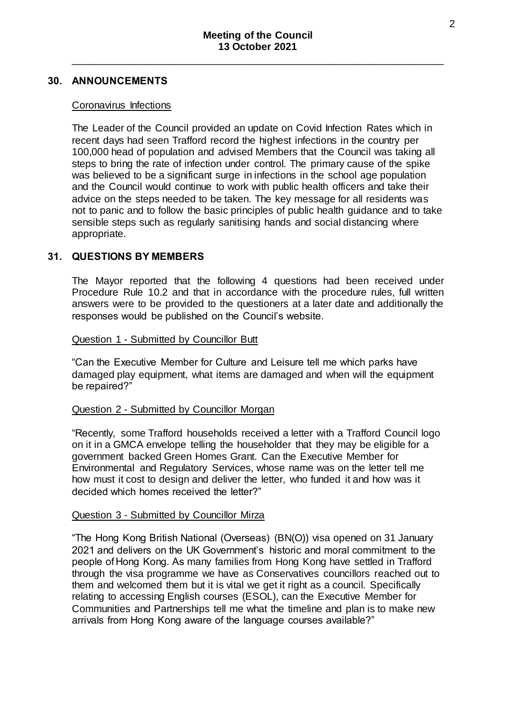### **30. ANNOUNCEMENTS**

### Coronavirus Infections

The Leader of the Council provided an update on Covid Infection Rates which in recent days had seen Trafford record the highest infections in the country per 100,000 head of population and advised Members that the Council was taking all steps to bring the rate of infection under control. The primary cause of the spike was believed to be a significant surge in infections in the school age population and the Council would continue to work with public health officers and take their advice on the steps needed to be taken. The key message for all residents was not to panic and to follow the basic principles of public health guidance and to take sensible steps such as regularly sanitising hands and social distancing where appropriate.

### **31. QUESTIONS BY MEMBERS**

The Mayor reported that the following 4 questions had been received under Procedure Rule 10.2 and that in accordance with the procedure rules, full written answers were to be provided to the questioners at a later date and additionally the responses would be published on the Council's website.

### Question 1 - Submitted by Councillor Butt

"Can the Executive Member for Culture and Leisure tell me which parks have damaged play equipment, what items are damaged and when will the equipment be repaired?"

### Question 2 - Submitted by Councillor Morgan

"Recently, some Trafford households received a letter with a Trafford Council logo on it in a GMCA envelope telling the householder that they may be eligible for a government backed Green Homes Grant. Can the Executive Member for Environmental and Regulatory Services, whose name was on the letter tell me how must it cost to design and deliver the letter, who funded it and how was it decided which homes received the letter?"

#### Question 3 - Submitted by Councillor Mirza

"The Hong Kong British National (Overseas) (BN(O)) visa opened on 31 January 2021 and delivers on the UK Government's historic and moral commitment to the people of Hong Kong. As many families from Hong Kong have settled in Trafford through the visa programme we have as Conservatives councillors reached out to them and welcomed them but it is vital we get it right as a council. Specifically relating to accessing English courses (ESOL), can the Executive Member for Communities and Partnerships tell me what the timeline and plan is to make new arrivals from Hong Kong aware of the language courses available?"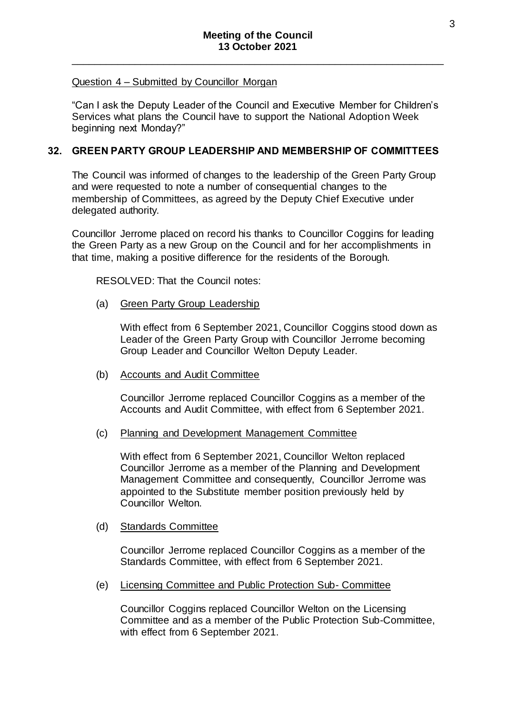### Question 4 – Submitted by Councillor Morgan

"Can I ask the Deputy Leader of the Council and Executive Member for Children's Services what plans the Council have to support the National Adoption Week beginning next Monday?"

# **32. GREEN PARTY GROUP LEADERSHIP AND MEMBERSHIP OF COMMITTEES**

The Council was informed of changes to the leadership of the Green Party Group and were requested to note a number of consequential changes to the membership of Committees, as agreed by the Deputy Chief Executive under delegated authority.

Councillor Jerrome placed on record his thanks to Councillor Coggins for leading the Green Party as a new Group on the Council and for her accomplishments in that time, making a positive difference for the residents of the Borough.

RESOLVED: That the Council notes:

(a) Green Party Group Leadership

With effect from 6 September 2021, Councillor Coggins stood down as Leader of the Green Party Group with Councillor Jerrome becoming Group Leader and Councillor Welton Deputy Leader.

(b) Accounts and Audit Committee

Councillor Jerrome replaced Councillor Coggins as a member of the Accounts and Audit Committee, with effect from 6 September 2021.

(c) Planning and Development Management Committee

With effect from 6 September 2021, Councillor Welton replaced Councillor Jerrome as a member of the Planning and Development Management Committee and consequently, Councillor Jerrome was appointed to the Substitute member position previously held by Councillor Welton.

(d) Standards Committee

Councillor Jerrome replaced Councillor Coggins as a member of the Standards Committee, with effect from 6 September 2021.

(e) Licensing Committee and Public Protection Sub- Committee

Councillor Coggins replaced Councillor Welton on the Licensing Committee and as a member of the Public Protection Sub-Committee, with effect from 6 September 2021.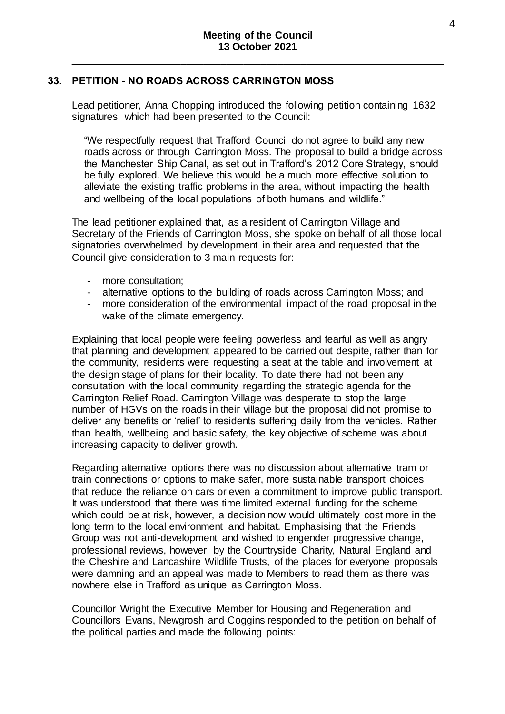# **33. PETITION - NO ROADS ACROSS CARRINGTON MOSS**

Lead petitioner, Anna Chopping introduced the following petition containing 1632 signatures, which had been presented to the Council:

"We respectfully request that Trafford Council do not agree to build any new roads across or through Carrington Moss. The proposal to build a bridge across the Manchester Ship Canal, as set out in Trafford's 2012 Core Strategy, should be fully explored. We believe this would be a much more effective solution to alleviate the existing traffic problems in the area, without impacting the health and wellbeing of the local populations of both humans and wildlife."

The lead petitioner explained that, as a resident of Carrington Village and Secretary of the Friends of Carrington Moss, she spoke on behalf of all those local signatories overwhelmed by development in their area and requested that the Council give consideration to 3 main requests for:

- more consultation;
- alternative options to the building of roads across Carrington Moss; and
- more consideration of the environmental impact of the road proposal in the wake of the climate emergency.

Explaining that local people were feeling powerless and fearful as well as angry that planning and development appeared to be carried out despite, rather than for the community, residents were requesting a seat at the table and involvement at the design stage of plans for their locality. To date there had not been any consultation with the local community regarding the strategic agenda for the Carrington Relief Road. Carrington Village was desperate to stop the large number of HGVs on the roads in their village but the proposal did not promise to deliver any benefits or 'relief' to residents suffering daily from the vehicles. Rather than health, wellbeing and basic safety, the key objective of scheme was about increasing capacity to deliver growth.

Regarding alternative options there was no discussion about alternative tram or train connections or options to make safer, more sustainable transport choices that reduce the reliance on cars or even a commitment to improve public transport. It was understood that there was time limited external funding for the scheme which could be at risk, however, a decision now would ultimately cost more in the long term to the local environment and habitat. Emphasising that the Friends Group was not anti-development and wished to engender progressive change, professional reviews, however, by the Countryside Charity, Natural England and the Cheshire and Lancashire Wildlife Trusts, of the places for everyone proposals were damning and an appeal was made to Members to read them as there was nowhere else in Trafford as unique as Carrington Moss.

Councillor Wright the Executive Member for Housing and Regeneration and Councillors Evans, Newgrosh and Coggins responded to the petition on behalf of the political parties and made the following points: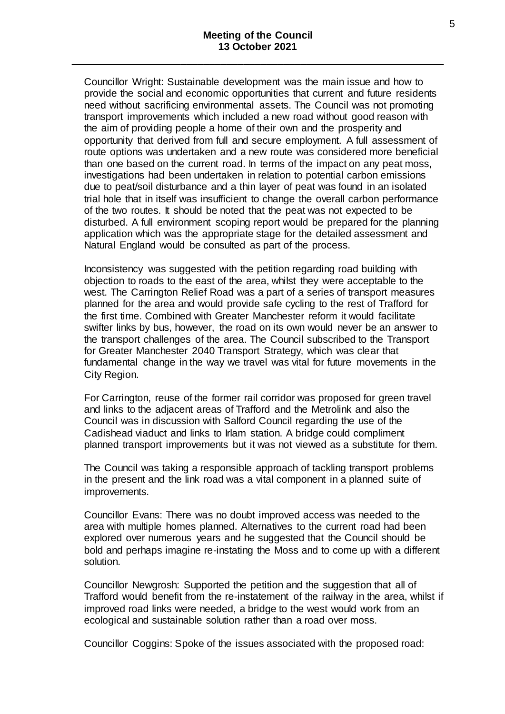Councillor Wright: Sustainable development was the main issue and how to provide the social and economic opportunities that current and future residents need without sacrificing environmental assets. The Council was not promoting transport improvements which included a new road without good reason with the aim of providing people a home of their own and the prosperity and opportunity that derived from full and secure employment. A full assessment of route options was undertaken and a new route was considered more beneficial than one based on the current road. In terms of the impact on any peat moss, investigations had been undertaken in relation to potential carbon emissions due to peat/soil disturbance and a thin layer of peat was found in an isolated trial hole that in itself was insufficient to change the overall carbon performance of the two routes. It should be noted that the peat was not expected to be disturbed. A full environment scoping report would be prepared for the planning application which was the appropriate stage for the detailed assessment and Natural England would be consulted as part of the process.

Inconsistency was suggested with the petition regarding road building with objection to roads to the east of the area, whilst they were acceptable to the west. The Carrington Relief Road was a part of a series of transport measures planned for the area and would provide safe cycling to the rest of Trafford for the first time. Combined with Greater Manchester reform it would facilitate swifter links by bus, however, the road on its own would never be an answer to the transport challenges of the area. The Council subscribed to the Transport for Greater Manchester 2040 Transport Strategy, which was clear that fundamental change in the way we travel was vital for future movements in the City Region.

For Carrington, reuse of the former rail corridor was proposed for green travel and links to the adjacent areas of Trafford and the Metrolink and also the Council was in discussion with Salford Council regarding the use of the Cadishead viaduct and links to Irlam station. A bridge could compliment planned transport improvements but it was not viewed as a substitute for them.

The Council was taking a responsible approach of tackling transport problems in the present and the link road was a vital component in a planned suite of improvements.

Councillor Evans: There was no doubt improved access was needed to the area with multiple homes planned. Alternatives to the current road had been explored over numerous years and he suggested that the Council should be bold and perhaps imagine re-instating the Moss and to come up with a different solution.

Councillor Newgrosh: Supported the petition and the suggestion that all of Trafford would benefit from the re-instatement of the railway in the area, whilst if improved road links were needed, a bridge to the west would work from an ecological and sustainable solution rather than a road over moss.

Councillor Coggins: Spoke of the issues associated with the proposed road: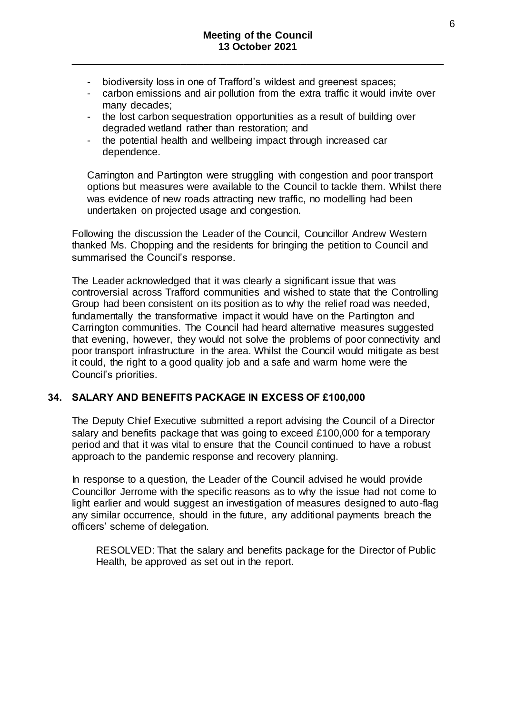- biodiversity loss in one of Trafford's wildest and greenest spaces;
- carbon emissions and air pollution from the extra traffic it would invite over many decades;
- the lost carbon sequestration opportunities as a result of building over degraded wetland rather than restoration; and
- the potential health and wellbeing impact through increased car dependence.

Carrington and Partington were struggling with congestion and poor transport options but measures were available to the Council to tackle them. Whilst there was evidence of new roads attracting new traffic, no modelling had been undertaken on projected usage and congestion.

Following the discussion the Leader of the Council, Councillor Andrew Western thanked Ms. Chopping and the residents for bringing the petition to Council and summarised the Council's response.

The Leader acknowledged that it was clearly a significant issue that was controversial across Trafford communities and wished to state that the Controlling Group had been consistent on its position as to why the relief road was needed, fundamentally the transformative impact it would have on the Partington and Carrington communities. The Council had heard alternative measures suggested that evening, however, they would not solve the problems of poor connectivity and poor transport infrastructure in the area. Whilst the Council would mitigate as best it could, the right to a good quality job and a safe and warm home were the Council's priorities.

# **34. SALARY AND BENEFITS PACKAGE IN EXCESS OF £100,000**

The Deputy Chief Executive submitted a report advising the Council of a Director salary and benefits package that was going to exceed £100,000 for a temporary period and that it was vital to ensure that the Council continued to have a robust approach to the pandemic response and recovery planning.

In response to a question, the Leader of the Council advised he would provide Councillor Jerrome with the specific reasons as to why the issue had not come to light earlier and would suggest an investigation of measures designed to auto-flag any similar occurrence, should in the future, any additional payments breach the officers' scheme of delegation.

RESOLVED: That the salary and benefits package for the Director of Public Health, be approved as set out in the report.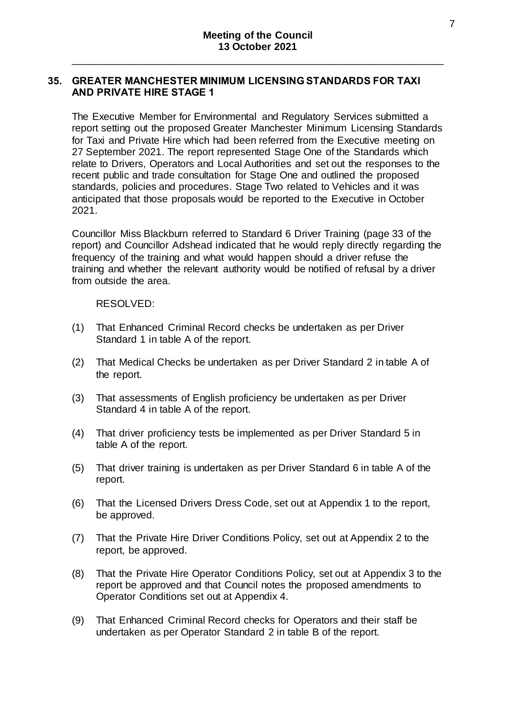# **35. GREATER MANCHESTER MINIMUM LICENSING STANDARDS FOR TAXI AND PRIVATE HIRE STAGE 1**

The Executive Member for Environmental and Regulatory Services submitted a report setting out the proposed Greater Manchester Minimum Licensing Standards for Taxi and Private Hire which had been referred from the Executive meeting on 27 September 2021. The report represented Stage One of the Standards which relate to Drivers, Operators and Local Authorities and set out the responses to the recent public and trade consultation for Stage One and outlined the proposed standards, policies and procedures. Stage Two related to Vehicles and it was anticipated that those proposals would be reported to the Executive in October 2021.

Councillor Miss Blackburn referred to Standard 6 Driver Training (page 33 of the report) and Councillor Adshead indicated that he would reply directly regarding the frequency of the training and what would happen should a driver refuse the training and whether the relevant authority would be notified of refusal by a driver from outside the area.

RESOLVED:

- (1) That Enhanced Criminal Record checks be undertaken as per Driver Standard 1 in table A of the report.
- (2) That Medical Checks be undertaken as per Driver Standard 2 in table A of the report.
- (3) That assessments of English proficiency be undertaken as per Driver Standard 4 in table A of the report.
- (4) That driver proficiency tests be implemented as per Driver Standard 5 in table A of the report.
- (5) That driver training is undertaken as per Driver Standard 6 in table A of the report.
- (6) That the Licensed Drivers Dress Code, set out at Appendix 1 to the report, be approved.
- (7) That the Private Hire Driver Conditions Policy, set out at Appendix 2 to the report, be approved.
- (8) That the Private Hire Operator Conditions Policy, set out at Appendix 3 to the report be approved and that Council notes the proposed amendments to Operator Conditions set out at Appendix 4.
- (9) That Enhanced Criminal Record checks for Operators and their staff be undertaken as per Operator Standard 2 in table B of the report.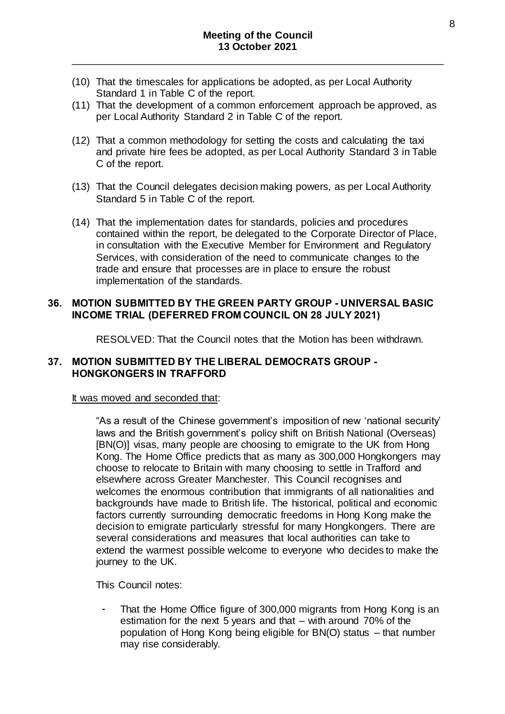- (10) That the timescales for applications be adopted, as per Local Authority Standard 1 in Table C of the report.
- (11) That the development of a common enforcement approach be approved, as per Local Authority Standard 2 in Table C of the report.
- (12) That a common methodology for setting the costs and calculating the taxi and private hire fees be adopted, as per Local Authority Standard 3 in Table C of the report.
- (13) That the Council delegates decision making powers, as per Local Authority Standard 5 in Table C of the report.
- (14) That the implementation dates for standards, policies and procedures contained within the report, be delegated to the Corporate Director of Place, in consultation with the Executive Member for Environment and Regulatory Services, with consideration of the need to communicate changes to the trade and ensure that processes are in place to ensure the robust implementation of the standards.

# **36. MOTION SUBMITTED BY THE GREEN PARTY GROUP - UNIVERSAL BASIC INCOME TRIAL (DEFERRED FROM COUNCIL ON 28 JULY 2021)**

RESOLVED: That the Council notes that the Motion has been withdrawn.

# **37. MOTION SUBMITTED BY THE LIBERAL DEMOCRATS GROUP - HONGKONGERS IN TRAFFORD**

### It was moved and seconded that:

"As a result of the Chinese government's imposition of new 'national security' laws and the British government's policy shift on British National (Overseas) [BN(O)] visas, many people are choosing to emigrate to the UK from Hong Kong. The Home Office predicts that as many as 300,000 Hongkongers may choose to relocate to Britain with many choosing to settle in Trafford and elsewhere across Greater Manchester. This Council recognises and welcomes the enormous contribution that immigrants of all nationalities and backgrounds have made to British life. The historical, political and economic factors currently surrounding democratic freedoms in Hong Kong make the decision to emigrate particularly stressful for many Hongkongers. There are several considerations and measures that local authorities can take to extend the warmest possible welcome to everyone who decides to make the journey to the UK.

This Council notes:

That the Home Office figure of 300,000 migrants from Hong Kong is an estimation for the next 5 years and that – with around 70% of the population of Hong Kong being eligible for BN(O) status – that number may rise considerably.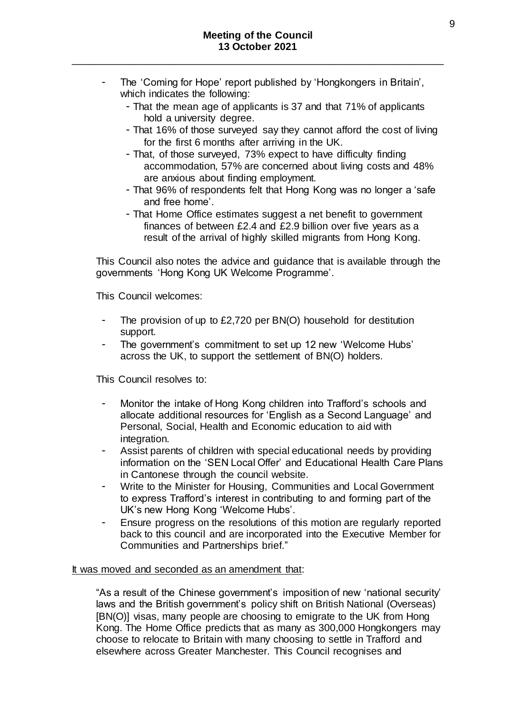- The 'Coming for Hope' report published by 'Hongkongers in Britain', which indicates the following:
	- That the mean age of applicants is 37 and that 71% of applicants hold a university degree.
	- That 16% of those surveyed say they cannot afford the cost of living for the first 6 months after arriving in the UK.
	- That, of those surveyed, 73% expect to have difficulty finding accommodation, 57% are concerned about living costs and 48% are anxious about finding employment.
	- That 96% of respondents felt that Hong Kong was no longer a 'safe and free home'.
	- That Home Office estimates suggest a net benefit to government finances of between £2.4 and £2.9 billion over five years as a result of the arrival of highly skilled migrants from Hong Kong.

This Council also notes the advice and guidance that is available through the governments 'Hong Kong UK Welcome Programme'.

This Council welcomes:

- The provision of up to £2,720 per BN(O) household for destitution support.
- The government's commitment to set up 12 new 'Welcome Hubs' across the UK, to support the settlement of BN(O) holders.

This Council resolves to:

- Monitor the intake of Hong Kong children into Trafford's schools and allocate additional resources for 'English as a Second Language' and Personal, Social, Health and Economic education to aid with integration.
- Assist parents of children with special educational needs by providing information on the 'SEN Local Offer' and Educational Health Care Plans in Cantonese through the council website.
- Write to the Minister for Housing, Communities and Local Government to express Trafford's interest in contributing to and forming part of the UK's new Hong Kong 'Welcome Hubs'.
- Ensure progress on the resolutions of this motion are regularly reported back to this council and are incorporated into the Executive Member for Communities and Partnerships brief."

### It was moved and seconded as an amendment that:

"As a result of the Chinese government's imposition of new 'national security' laws and the British government's policy shift on British National (Overseas) [BN(O)] visas, many people are choosing to emigrate to the UK from Hong Kong. The Home Office predicts that as many as 300,000 Hongkongers may choose to relocate to Britain with many choosing to settle in Trafford and elsewhere across Greater Manchester. This Council recognises and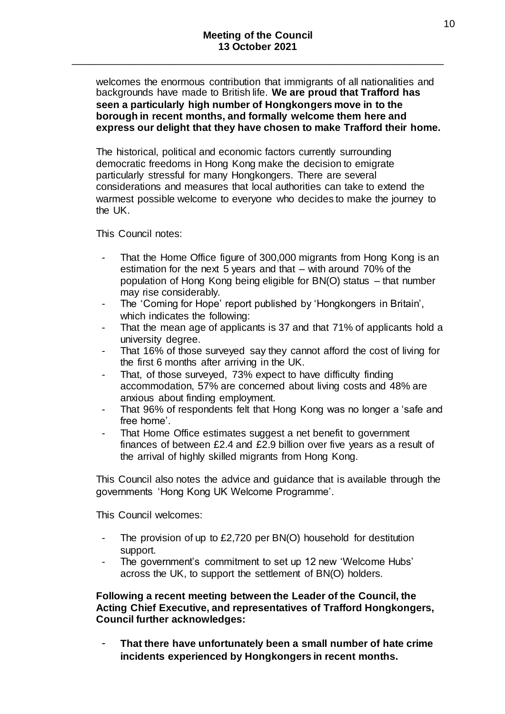welcomes the enormous contribution that immigrants of all nationalities and backgrounds have made to British life. **We are proud that Trafford has seen a particularly high number of Hongkongers move in to the borough in recent months, and formally welcome them here and express our delight that they have chosen to make Trafford their home.**

The historical, political and economic factors currently surrounding democratic freedoms in Hong Kong make the decision to emigrate particularly stressful for many Hongkongers. There are several considerations and measures that local authorities can take to extend the warmest possible welcome to everyone who decides to make the journey to the UK.

This Council notes:

- That the Home Office figure of 300,000 migrants from Hong Kong is an estimation for the next 5 years and that – with around 70% of the population of Hong Kong being eligible for BN(O) status – that number may rise considerably.
- The 'Coming for Hope' report published by 'Hongkongers in Britain', which indicates the following:
- That the mean age of applicants is 37 and that 71% of applicants hold a university degree.
- That 16% of those surveyed say they cannot afford the cost of living for the first 6 months after arriving in the UK.
- That, of those surveyed, 73% expect to have difficulty finding accommodation, 57% are concerned about living costs and 48% are anxious about finding employment.
- That 96% of respondents felt that Hong Kong was no longer a 'safe and free home'.
- That Home Office estimates suggest a net benefit to government finances of between £2.4 and £2.9 billion over five years as a result of the arrival of highly skilled migrants from Hong Kong.

This Council also notes the advice and guidance that is available through the governments 'Hong Kong UK Welcome Programme'.

This Council welcomes:

- The provision of up to  $£2,720$  per BN(O) household for destitution support.
- The government's commitment to set up 12 new 'Welcome Hubs' across the UK, to support the settlement of BN(O) holders.

# **Following a recent meeting between the Leader of the Council, the Acting Chief Executive, and representatives of Trafford Hongkongers, Council further acknowledges:**

- **That there have unfortunately been a small number of hate crime incidents experienced by Hongkongers in recent months.**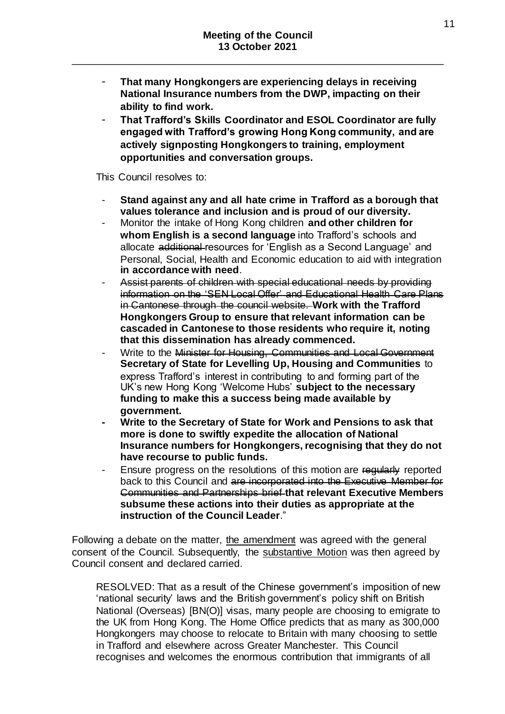- **That many Hongkongers are experiencing delays in receiving National Insurance numbers from the DWP, impacting on their ability to find work.**
- **That Trafford's Skills Coordinator and ESOL Coordinator are fully engaged with Trafford's growing Hong Kong community, and are actively signposting Hongkongers to training, employment opportunities and conversation groups.**

This Council resolves to:

- **Stand against any and all hate crime in Trafford as a borough that values tolerance and inclusion and is proud of our diversity.**
- Monitor the intake of Hong Kong children **and other children for whom English is a second language** into Trafford's schools and allocate additional resources for 'English as a Second Language' and Personal, Social, Health and Economic education to aid with integration **in accordance with need**.
- Assist parents of children with special educational needs by providing information on the 'SEN Local Offer' and Educational Health Care Plans in Cantonese through the council website. **Work with the Trafford Hongkongers Group to ensure that relevant information can be cascaded in Cantonese to those residents who require it, noting that this dissemination has already commenced.**
- Write to the Minister for Housing, Communities and Local Government **Secretary of State for Levelling Up, Housing and Communities** to express Trafford's interest in contributing to and forming part of the UK's new Hong Kong 'Welcome Hubs' **subject to the necessary funding to make this a success being made available by government.**
- **- Write to the Secretary of State for Work and Pensions to ask that more is done to swiftly expedite the allocation of National Insurance numbers for Hongkongers, recognising that they do not have recourse to public funds.**
- Ensure progress on the resolutions of this motion are regularly reported back to this Council and are incorporated into the Executive Member for Communities and Partnerships brief **that relevant Executive Members subsume these actions into their duties as appropriate at the instruction of the Council Leader**."

Following a debate on the matter, the amendment was agreed with the general consent of the Council. Subsequently, the substantive Motion was then agreed by Council consent and declared carried.

RESOLVED: That as a result of the Chinese government's imposition of new 'national security' laws and the British government's policy shift on British National (Overseas) [BN(O)] visas, many people are choosing to emigrate to the UK from Hong Kong. The Home Office predicts that as many as 300,000 Hongkongers may choose to relocate to Britain with many choosing to settle in Trafford and elsewhere across Greater Manchester. This Council recognises and welcomes the enormous contribution that immigrants of all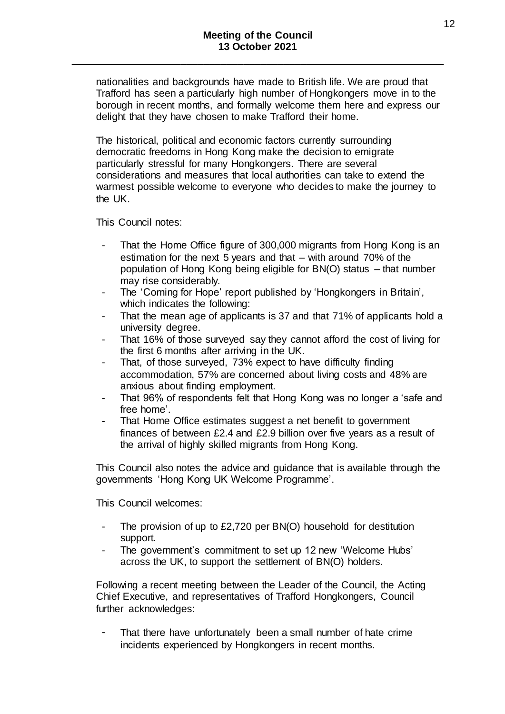nationalities and backgrounds have made to British life. We are proud that Trafford has seen a particularly high number of Hongkongers move in to the borough in recent months, and formally welcome them here and express our delight that they have chosen to make Trafford their home.

The historical, political and economic factors currently surrounding democratic freedoms in Hong Kong make the decision to emigrate particularly stressful for many Hongkongers. There are several considerations and measures that local authorities can take to extend the warmest possible welcome to everyone who decides to make the journey to the UK.

This Council notes:

- That the Home Office figure of 300,000 migrants from Hong Kong is an estimation for the next 5 years and that – with around 70% of the population of Hong Kong being eligible for BN(O) status – that number may rise considerably.
- The 'Coming for Hope' report published by 'Hongkongers in Britain', which indicates the following:
- That the mean age of applicants is 37 and that 71% of applicants hold a university degree.
- That 16% of those surveyed say they cannot afford the cost of living for the first 6 months after arriving in the UK.
- That, of those surveyed, 73% expect to have difficulty finding accommodation, 57% are concerned about living costs and 48% are anxious about finding employment.
- That 96% of respondents felt that Hong Kong was no longer a 'safe and free home'.
- That Home Office estimates suggest a net benefit to government finances of between £2.4 and £2.9 billion over five years as a result of the arrival of highly skilled migrants from Hong Kong.

This Council also notes the advice and guidance that is available through the governments 'Hong Kong UK Welcome Programme'.

This Council welcomes:

- The provision of up to  $£2,720$  per BN(O) household for destitution support.
- The government's commitment to set up 12 new 'Welcome Hubs' across the UK, to support the settlement of BN(O) holders.

Following a recent meeting between the Leader of the Council, the Acting Chief Executive, and representatives of Trafford Hongkongers, Council further acknowledges:

That there have unfortunately been a small number of hate crime incidents experienced by Hongkongers in recent months.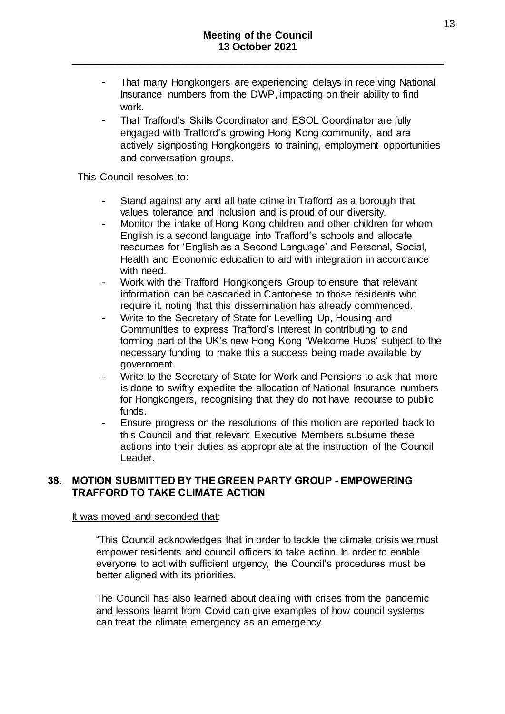- That many Hongkongers are experiencing delays in receiving National Insurance numbers from the DWP, impacting on their ability to find work.
- That Trafford's Skills Coordinator and ESOL Coordinator are fully engaged with Trafford's growing Hong Kong community, and are actively signposting Hongkongers to training, employment opportunities and conversation groups.

This Council resolves to:

- Stand against any and all hate crime in Trafford as a borough that values tolerance and inclusion and is proud of our diversity.
- Monitor the intake of Hong Kong children and other children for whom English is a second language into Trafford's schools and allocate resources for 'English as a Second Language' and Personal, Social, Health and Economic education to aid with integration in accordance with need.
- Work with the Trafford Hongkongers Group to ensure that relevant information can be cascaded in Cantonese to those residents who require it, noting that this dissemination has already commenced.
- Write to the Secretary of State for Levelling Up, Housing and Communities to express Trafford's interest in contributing to and forming part of the UK's new Hong Kong 'Welcome Hubs' subject to the necessary funding to make this a success being made available by government.
- Write to the Secretary of State for Work and Pensions to ask that more is done to swiftly expedite the allocation of National Insurance numbers for Hongkongers, recognising that they do not have recourse to public funds.
- Ensure progress on the resolutions of this motion are reported back to this Council and that relevant Executive Members subsume these actions into their duties as appropriate at the instruction of the Council Leader.

# **38. MOTION SUBMITTED BY THE GREEN PARTY GROUP - EMPOWERING TRAFFORD TO TAKE CLIMATE ACTION**

### It was moved and seconded that:

"This Council acknowledges that in order to tackle the climate crisis we must empower residents and council officers to take action. In order to enable everyone to act with sufficient urgency, the Council's procedures must be better aligned with its priorities.

The Council has also learned about dealing with crises from the pandemic and lessons learnt from Covid can give examples of how council systems can treat the climate emergency as an emergency.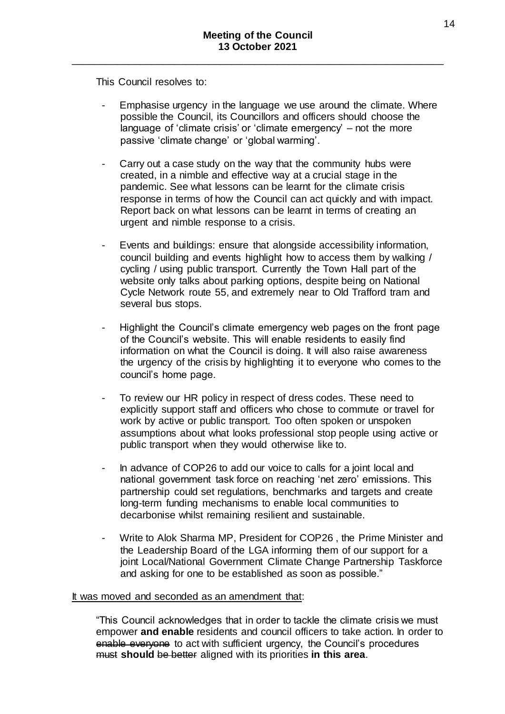This Council resolves to:

- Emphasise urgency in the language we use around the climate. Where possible the Council, its Councillors and officers should choose the language of 'climate crisis' or 'climate emergency' – not the more passive 'climate change' or 'global warming'.
- Carry out a case study on the way that the community hubs were created, in a nimble and effective way at a crucial stage in the pandemic. See what lessons can be learnt for the climate crisis response in terms of how the Council can act quickly and with impact. Report back on what lessons can be learnt in terms of creating an urgent and nimble response to a crisis.
- Events and buildings: ensure that alongside accessibility information, council building and events highlight how to access them by walking / cycling / using public transport. Currently the Town Hall part of the website only talks about parking options, despite being on National Cycle Network route 55, and extremely near to Old Trafford tram and several bus stops.
- Highlight the Council's climate emergency web pages on the front page of the Council's website. This will enable residents to easily find information on what the Council is doing. It will also raise awareness the urgency of the crisis by highlighting it to everyone who comes to the council's home page.
- To review our HR policy in respect of dress codes. These need to explicitly support staff and officers who chose to commute or travel for work by active or public transport. Too often spoken or unspoken assumptions about what looks professional stop people using active or public transport when they would otherwise like to.
- In advance of COP26 to add our voice to calls for a joint local and national government task force on reaching 'net zero' emissions. This partnership could set regulations, benchmarks and targets and create long-term funding mechanisms to enable local communities to decarbonise whilst remaining resilient and sustainable.
- Write to Alok Sharma MP, President for COP26, the Prime Minister and the Leadership Board of the LGA informing them of our support for a joint Local/National Government Climate Change Partnership Taskforce and asking for one to be established as soon as possible."

### It was moved and seconded as an amendment that:

"This Council acknowledges that in order to tackle the climate crisis we must empower **and enable** residents and council officers to take action. In order to enable everyone to act with sufficient urgency, the Council's procedures must **should** be better aligned with its priorities **in this area**.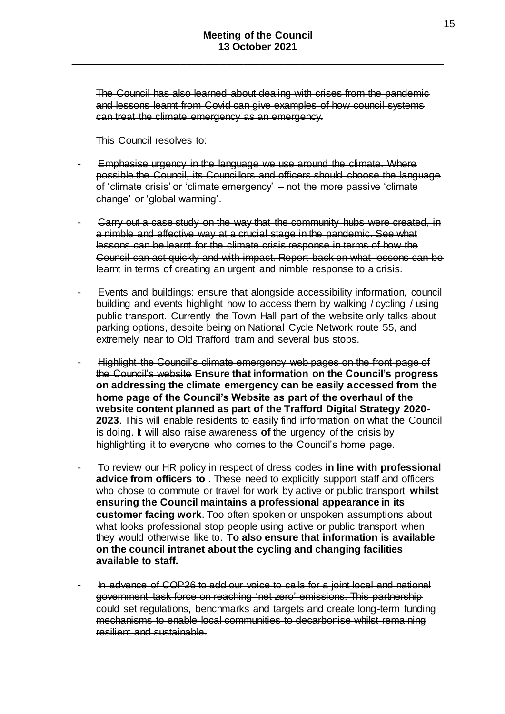The Council has also learned about dealing with crises from the pandemic and lessons learnt from Covid can give examples of how council systems can treat the climate emergency as an emergency.

This Council resolves to:

- Emphasise urgency in the language we use around the climate. Where possible the Council, its Councillors and officers should choose the language of 'climate crisis' or 'climate emergency' – not the more passive 'climate change' or 'global warming'.
- Carry out a case study on the way that the community hubs were created, in a nimble and effective way at a crucial stage in the pandemic. See what lessons can be learnt for the climate crisis response in terms of how the Council can act quickly and with impact. Report back on what lessons can be learnt in terms of creating an urgent and nimble response to a crisis.
- Events and buildings: ensure that alongside accessibility information, council building and events highlight how to access them by walking / cycling / using public transport. Currently the Town Hall part of the website only talks about parking options, despite being on National Cycle Network route 55, and extremely near to Old Trafford tram and several bus stops.
- Highlight the Council's climate emergency web pages on the front page of the Council's website **Ensure that information on the Council's progress on addressing the climate emergency can be easily accessed from the home page of the Council's Website as part of the overhaul of the website content planned as part of the Trafford Digital Strategy 2020- 2023**. This will enable residents to easily find information on what the Council is doing. It will also raise awareness **of** the urgency of the crisis by highlighting it to everyone who comes to the Council's home page.
- To review our HR policy in respect of dress codes **in line with professional advice from officers to** . These need to explicitly support staff and officers who chose to commute or travel for work by active or public transport **whilst ensuring the Council maintains a professional appearance in its customer facing work**. Too often spoken or unspoken assumptions about what looks professional stop people using active or public transport when they would otherwise like to. **To also ensure that information is available on the council intranet about the cycling and changing facilities available to staff.**
- In advance of COP26 to add our voice to calls for a joint local and national government task force on reaching 'net zero' emissions. This partnership could set regulations, benchmarks and targets and create long-term funding mechanisms to enable local communities to decarbonise whilst remaining resilient and sustainable.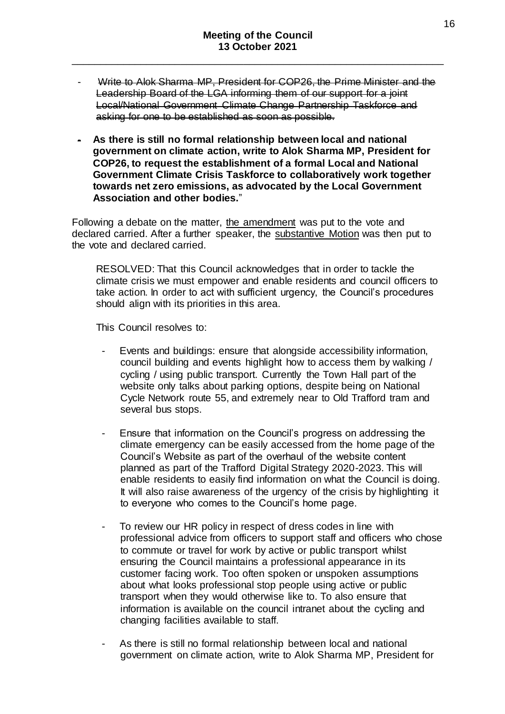- Write to Alok Sharma MP, President for COP26, the Prime Minister and the Leadership Board of the LGA informing them of our support for a joint Local/National Government Climate Change Partnership Taskforce and asking for one to be established as soon as possible.
- **As there is still no formal relationship between local and national government on climate action, write to Alok Sharma MP, President for COP26, to request the establishment of a formal Local and National Government Climate Crisis Taskforce to collaboratively work together towards net zero emissions, as advocated by the Local Government Association and other bodies.**"

Following a debate on the matter, the amendment was put to the vote and declared carried. After a further speaker, the substantive Motion was then put to the vote and declared carried.

RESOLVED: That this Council acknowledges that in order to tackle the climate crisis we must empower and enable residents and council officers to take action. In order to act with sufficient urgency, the Council's procedures should align with its priorities in this area.

This Council resolves to:

- Events and buildings: ensure that alongside accessibility information, council building and events highlight how to access them by walking / cycling / using public transport. Currently the Town Hall part of the website only talks about parking options, despite being on National Cycle Network route 55, and extremely near to Old Trafford tram and several bus stops.
- Ensure that information on the Council's progress on addressing the climate emergency can be easily accessed from the home page of the Council's Website as part of the overhaul of the website content planned as part of the Trafford Digital Strategy 2020-2023. This will enable residents to easily find information on what the Council is doing. It will also raise awareness of the urgency of the crisis by highlighting it to everyone who comes to the Council's home page.
- To review our HR policy in respect of dress codes in line with professional advice from officers to support staff and officers who chose to commute or travel for work by active or public transport whilst ensuring the Council maintains a professional appearance in its customer facing work. Too often spoken or unspoken assumptions about what looks professional stop people using active or public transport when they would otherwise like to. To also ensure that information is available on the council intranet about the cycling and changing facilities available to staff.
- As there is still no formal relationship between local and national government on climate action, write to Alok Sharma MP, President for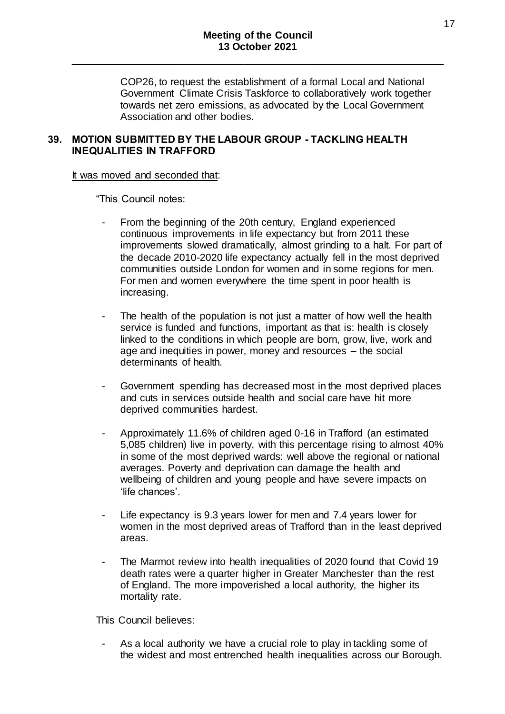COP26, to request the establishment of a formal Local and National Government Climate Crisis Taskforce to collaboratively work together towards net zero emissions, as advocated by the Local Government Association and other bodies.

# **39. MOTION SUBMITTED BY THE LABOUR GROUP - TACKLING HEALTH INEQUALITIES IN TRAFFORD**

### It was moved and seconded that:

"This Council notes:

- From the beginning of the 20th century, England experienced continuous improvements in life expectancy but from 2011 these improvements slowed dramatically, almost grinding to a halt. For part of the decade 2010-2020 life expectancy actually fell in the most deprived communities outside London for women and in some regions for men. For men and women everywhere the time spent in poor health is increasing.
- The health of the population is not just a matter of how well the health service is funded and functions, important as that is: health is closely linked to the conditions in which people are born, grow, live, work and age and inequities in power, money and resources – the social determinants of health.
- Government spending has decreased most in the most deprived places and cuts in services outside health and social care have hit more deprived communities hardest.
- Approximately 11.6% of children aged 0-16 in Trafford (an estimated 5,085 children) live in poverty, with this percentage rising to almost 40% in some of the most deprived wards: well above the regional or national averages. Poverty and deprivation can damage the health and wellbeing of children and young people and have severe impacts on 'life chances'.
- Life expectancy is 9.3 years lower for men and 7.4 years lower for women in the most deprived areas of Trafford than in the least deprived areas.
- The Marmot review into health inequalities of 2020 found that Covid 19 death rates were a quarter higher in Greater Manchester than the rest of England. The more impoverished a local authority, the higher its mortality rate.

This Council believes:

As a local authority we have a crucial role to play in tackling some of the widest and most entrenched health inequalities across our Borough.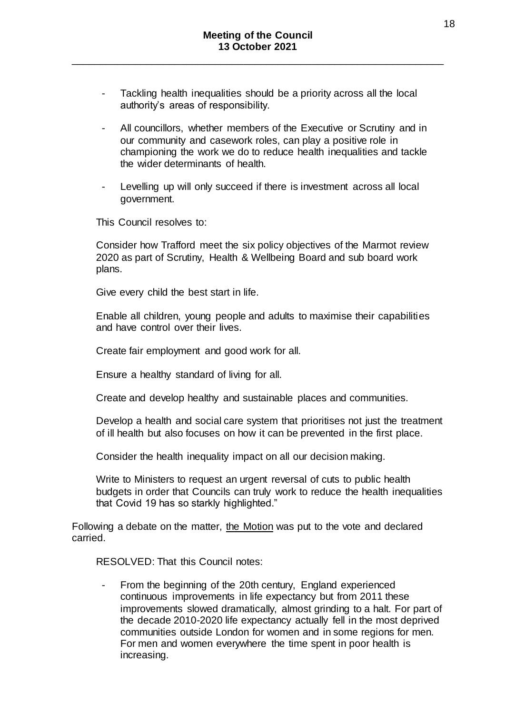- Tackling health inequalities should be a priority across all the local authority's areas of responsibility.
- All councillors, whether members of the Executive or Scrutiny and in our community and casework roles, can play a positive role in championing the work we do to reduce health inequalities and tackle the wider determinants of health.
- Levelling up will only succeed if there is investment across all local government.

This Council resolves to:

Consider how Trafford meet the six policy objectives of the Marmot review 2020 as part of Scrutiny, Health & Wellbeing Board and sub board work plans.

Give every child the best start in life.

Enable all children, young people and adults to maximise their capabilities and have control over their lives.

Create fair employment and good work for all.

Ensure a healthy standard of living for all.

Create and develop healthy and sustainable places and communities.

Develop a health and social care system that prioritises not just the treatment of ill health but also focuses on how it can be prevented in the first place.

Consider the health inequality impact on all our decision making.

Write to Ministers to request an urgent reversal of cuts to public health budgets in order that Councils can truly work to reduce the health inequalities that Covid 19 has so starkly highlighted."

Following a debate on the matter, the Motion was put to the vote and declared carried.

RESOLVED: That this Council notes:

From the beginning of the 20th century, England experienced continuous improvements in life expectancy but from 2011 these improvements slowed dramatically, almost grinding to a halt. For part of the decade 2010-2020 life expectancy actually fell in the most deprived communities outside London for women and in some regions for men. For men and women everywhere the time spent in poor health is increasing.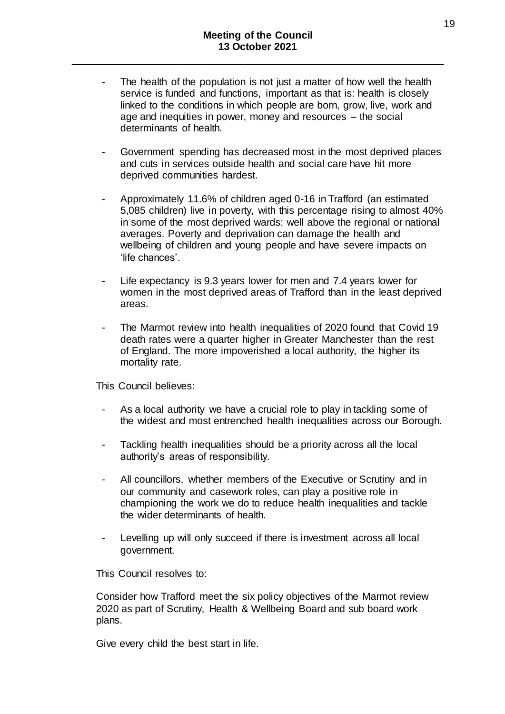- The health of the population is not just a matter of how well the health service is funded and functions, important as that is: health is closely linked to the conditions in which people are born, grow, live, work and age and inequities in power, money and resources – the social determinants of health.
- Government spending has decreased most in the most deprived places and cuts in services outside health and social care have hit more deprived communities hardest.
- Approximately 11.6% of children aged 0-16 in Trafford (an estimated 5,085 children) live in poverty, with this percentage rising to almost 40% in some of the most deprived wards: well above the regional or national averages. Poverty and deprivation can damage the health and wellbeing of children and young people and have severe impacts on 'life chances'.
- Life expectancy is 9.3 years lower for men and 7.4 years lower for women in the most deprived areas of Trafford than in the least deprived areas.
- The Marmot review into health inequalities of 2020 found that Covid 19 death rates were a quarter higher in Greater Manchester than the rest of England. The more impoverished a local authority, the higher its mortality rate.

This Council believes:

- As a local authority we have a crucial role to play in tackling some of the widest and most entrenched health inequalities across our Borough.
- Tackling health inequalities should be a priority across all the local authority's areas of responsibility.
- All councillors, whether members of the Executive or Scrutiny and in our community and casework roles, can play a positive role in championing the work we do to reduce health inequalities and tackle the wider determinants of health.
- Levelling up will only succeed if there is investment across all local government.

This Council resolves to:

Consider how Trafford meet the six policy objectives of the Marmot review 2020 as part of Scrutiny, Health & Wellbeing Board and sub board work plans.

Give every child the best start in life.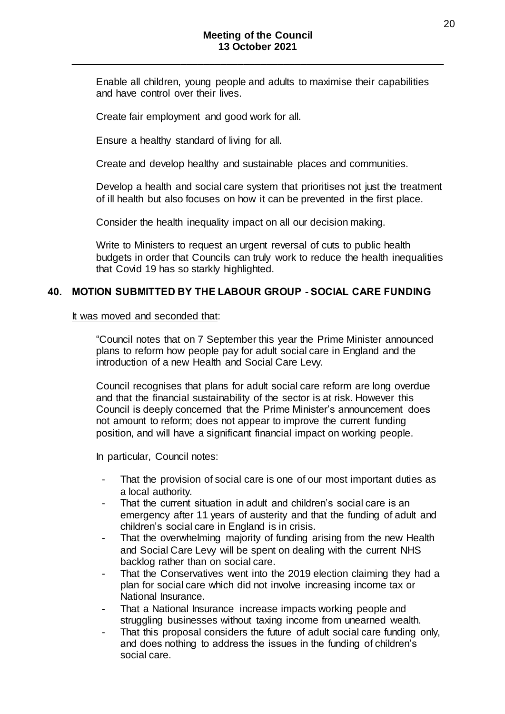Enable all children, young people and adults to maximise their capabilities and have control over their lives.

Create fair employment and good work for all.

Ensure a healthy standard of living for all.

Create and develop healthy and sustainable places and communities.

Develop a health and social care system that prioritises not just the treatment of ill health but also focuses on how it can be prevented in the first place.

Consider the health inequality impact on all our decision making.

Write to Ministers to request an urgent reversal of cuts to public health budgets in order that Councils can truly work to reduce the health inequalities that Covid 19 has so starkly highlighted.

### **40. MOTION SUBMITTED BY THE LABOUR GROUP - SOCIAL CARE FUNDING**

#### It was moved and seconded that:

"Council notes that on 7 September this year the Prime Minister announced plans to reform how people pay for adult social care in England and the introduction of a new Health and Social Care Levy.

Council recognises that plans for adult social care reform are long overdue and that the financial sustainability of the sector is at risk. However this Council is deeply concerned that the Prime Minister's announcement does not amount to reform; does not appear to improve the current funding position, and will have a significant financial impact on working people.

In particular, Council notes:

- That the provision of social care is one of our most important duties as a local authority.
- That the current situation in adult and children's social care is an emergency after 11 years of austerity and that the funding of adult and children's social care in England is in crisis.
- That the overwhelming majority of funding arising from the new Health and Social Care Levy will be spent on dealing with the current NHS backlog rather than on social care.
- That the Conservatives went into the 2019 election claiming they had a plan for social care which did not involve increasing income tax or National Insurance.
- That a National Insurance increase impacts working people and struggling businesses without taxing income from unearned wealth.
- That this proposal considers the future of adult social care funding only, and does nothing to address the issues in the funding of children's social care.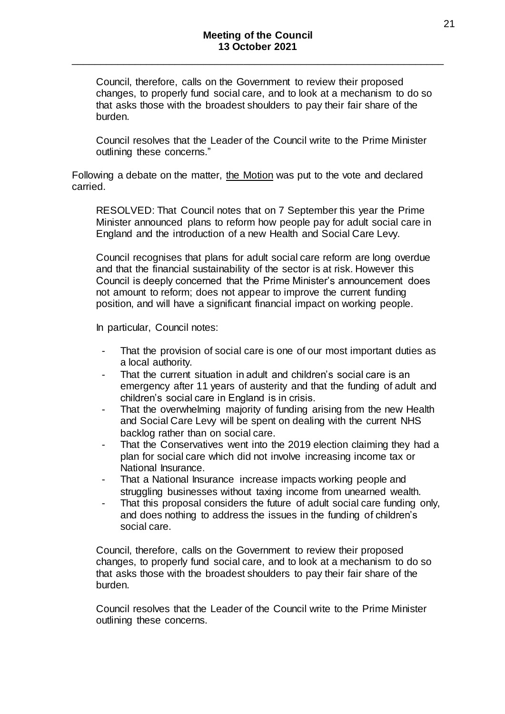Council, therefore, calls on the Government to review their proposed changes, to properly fund social care, and to look at a mechanism to do so that asks those with the broadest shoulders to pay their fair share of the burden.

Council resolves that the Leader of the Council write to the Prime Minister outlining these concerns."

Following a debate on the matter, the Motion was put to the vote and declared carried.

RESOLVED: That Council notes that on 7 September this year the Prime Minister announced plans to reform how people pay for adult social care in England and the introduction of a new Health and Social Care Levy.

Council recognises that plans for adult social care reform are long overdue and that the financial sustainability of the sector is at risk. However this Council is deeply concerned that the Prime Minister's announcement does not amount to reform; does not appear to improve the current funding position, and will have a significant financial impact on working people.

In particular, Council notes:

- That the provision of social care is one of our most important duties as a local authority.
- That the current situation in adult and children's social care is an emergency after 11 years of austerity and that the funding of adult and children's social care in England is in crisis.
- That the overwhelming majority of funding arising from the new Health and Social Care Levy will be spent on dealing with the current NHS backlog rather than on social care.
- That the Conservatives went into the 2019 election claiming they had a plan for social care which did not involve increasing income tax or National Insurance.
- That a National Insurance increase impacts working people and struggling businesses without taxing income from unearned wealth.
- That this proposal considers the future of adult social care funding only, and does nothing to address the issues in the funding of children's social care.

Council, therefore, calls on the Government to review their proposed changes, to properly fund social care, and to look at a mechanism to do so that asks those with the broadest shoulders to pay their fair share of the burden.

Council resolves that the Leader of the Council write to the Prime Minister outlining these concerns.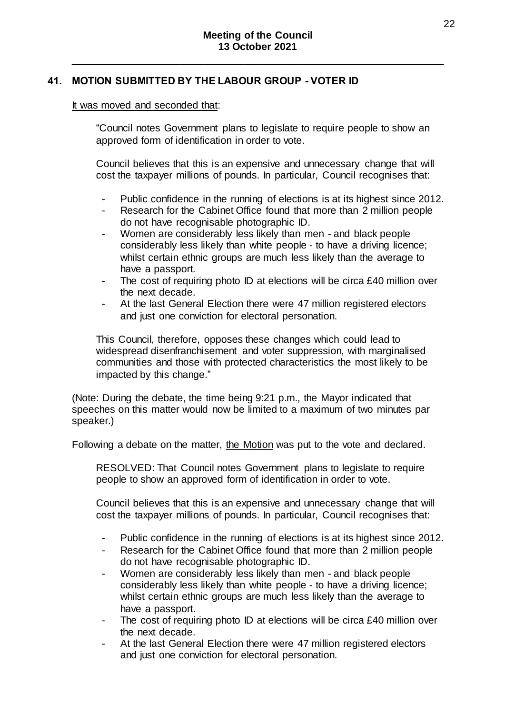# **41. MOTION SUBMITTED BY THE LABOUR GROUP - VOTER ID**

#### It was moved and seconded that:

"Council notes Government plans to legislate to require people to show an approved form of identification in order to vote.

Council believes that this is an expensive and unnecessary change that will cost the taxpayer millions of pounds. In particular, Council recognises that:

- Public confidence in the running of elections is at its highest since 2012.
- Research for the Cabinet Office found that more than 2 million people do not have recognisable photographic ID.
- Women are considerably less likely than men and black people considerably less likely than white people - to have a driving licence; whilst certain ethnic groups are much less likely than the average to have a passport.
- The cost of requiring photo ID at elections will be circa £40 million over the next decade.
- At the last General Election there were 47 million registered electors and just one conviction for electoral personation.

This Council, therefore, opposes these changes which could lead to widespread disenfranchisement and voter suppression, with marginalised communities and those with protected characteristics the most likely to be impacted by this change."

(Note: During the debate, the time being 9:21 p.m., the Mayor indicated that speeches on this matter would now be limited to a maximum of two minutes par speaker.)

Following a debate on the matter, the Motion was put to the vote and declared.

RESOLVED: That Council notes Government plans to legislate to require people to show an approved form of identification in order to vote.

Council believes that this is an expensive and unnecessary change that will cost the taxpayer millions of pounds. In particular, Council recognises that:

- Public confidence in the running of elections is at its highest since 2012.
- Research for the Cabinet Office found that more than 2 million people do not have recognisable photographic ID.
- Women are considerably less likely than men and black people considerably less likely than white people - to have a driving licence; whilst certain ethnic groups are much less likely than the average to have a passport.
- The cost of requiring photo ID at elections will be circa £40 million over the next decade.
- At the last General Election there were 47 million registered electors and just one conviction for electoral personation.